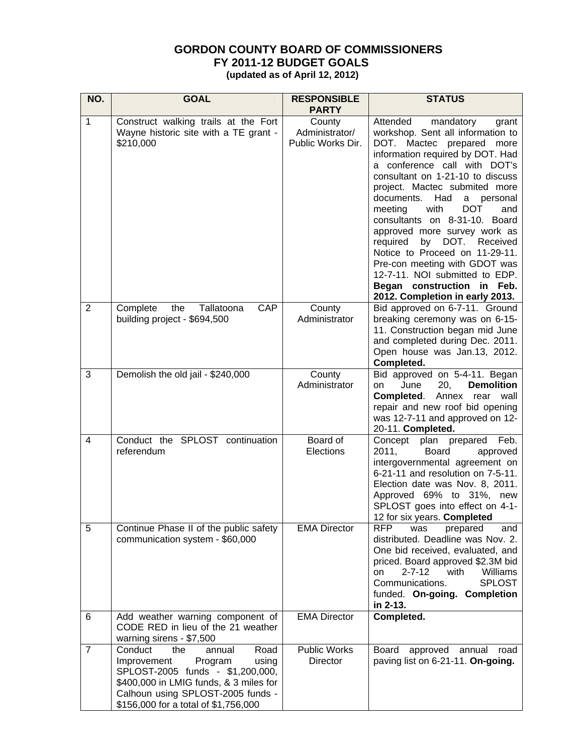## **GORDON COUNTY BOARD OF COMMISSIONERS FY 2011-12 BUDGET GOALS**

 **(updated as of April 12, 2012)** 

| NO.            | <b>GOAL</b>                                                                                                                                                                                                                    | <b>RESPONSIBLE</b><br><b>PARTY</b>            | <b>STATUS</b>                                                                                                                                                                                                                                                                                                                                                                                                                                                                                                                                                                                     |  |  |
|----------------|--------------------------------------------------------------------------------------------------------------------------------------------------------------------------------------------------------------------------------|-----------------------------------------------|---------------------------------------------------------------------------------------------------------------------------------------------------------------------------------------------------------------------------------------------------------------------------------------------------------------------------------------------------------------------------------------------------------------------------------------------------------------------------------------------------------------------------------------------------------------------------------------------------|--|--|
| $\mathbf{1}$   | Construct walking trails at the Fort<br>Wayne historic site with a TE grant -<br>\$210,000                                                                                                                                     | County<br>Administrator/<br>Public Works Dir. | Attended<br>mandatory<br>grant<br>workshop. Sent all information to<br>DOT. Mactec prepared more<br>information required by DOT. Had<br>a conference call with DOT's<br>consultant on 1-21-10 to discuss<br>project. Mactec submited more<br>documents.<br>Had<br>a<br>personal<br>meeting<br>with<br><b>DOT</b><br>and<br>consultants on 8-31-10. Board<br>approved more survey work as<br>by DOT.<br>required<br>Received<br>Notice to Proceed on 11-29-11.<br>Pre-con meeting with GDOT was<br>12-7-11. NOI submitted to EDP.<br>Began construction in Feb.<br>2012. Completion in early 2013. |  |  |
| $\overline{2}$ | CAP<br>Complete<br>the Tallatoona<br>building project - \$694,500                                                                                                                                                              | County<br>Administrator                       | Bid approved on 6-7-11. Ground<br>breaking ceremony was on 6-15-<br>11. Construction began mid June<br>and completed during Dec. 2011.<br>Open house was Jan.13, 2012.<br>Completed.                                                                                                                                                                                                                                                                                                                                                                                                              |  |  |
| 3              | Demolish the old jail - \$240,000                                                                                                                                                                                              | County<br>Administrator                       | Bid approved on 5-4-11. Began<br>June<br>20,<br><b>Demolition</b><br>on<br>Completed.<br>Annex<br>rear<br>wall<br>repair and new roof bid opening<br>was 12-7-11 and approved on 12-<br>20-11. Completed.                                                                                                                                                                                                                                                                                                                                                                                         |  |  |
| 4              | Conduct the SPLOST continuation<br>referendum                                                                                                                                                                                  | Board of<br>Elections                         | plan prepared Feb.<br>Concept<br>2011,<br>Board<br>approved<br>intergovernmental agreement on<br>6-21-11 and resolution on 7-5-11.<br>Election date was Nov. 8, 2011.<br>Approved 69% to 31%, new<br>SPLOST goes into effect on 4-1-<br>12 for six years. Completed                                                                                                                                                                                                                                                                                                                               |  |  |
| 5              | Continue Phase II of the public safety<br>communication system - \$60,000                                                                                                                                                      | <b>EMA Director</b>                           | <b>RFP</b><br>was<br>prepared<br>and<br>distributed. Deadline was Nov. 2.<br>One bid received, evaluated, and<br>priced. Board approved \$2.3M bid<br>$2 - 7 - 12$<br>with<br>Williams<br>on<br><b>SPLOST</b><br>Communications.<br>funded. On-going. Completion<br>in 2-13.                                                                                                                                                                                                                                                                                                                      |  |  |
| 6              | Add weather warning component of<br>CODE RED in lieu of the 21 weather<br>warning sirens - \$7,500                                                                                                                             | <b>EMA Director</b>                           | Completed.                                                                                                                                                                                                                                                                                                                                                                                                                                                                                                                                                                                        |  |  |
| $\overline{7}$ | Conduct<br>Road<br>the<br>annual<br>Improvement<br>Program<br>using<br>SPLOST-2005 funds - \$1,200,000,<br>\$400,000 in LMIG funds, & 3 miles for<br>Calhoun using SPLOST-2005 funds -<br>\$156,000 for a total of \$1,756,000 | <b>Public Works</b><br><b>Director</b>        | <b>Board</b><br>approved<br>annual<br>road<br>paving list on 6-21-11. On-going.                                                                                                                                                                                                                                                                                                                                                                                                                                                                                                                   |  |  |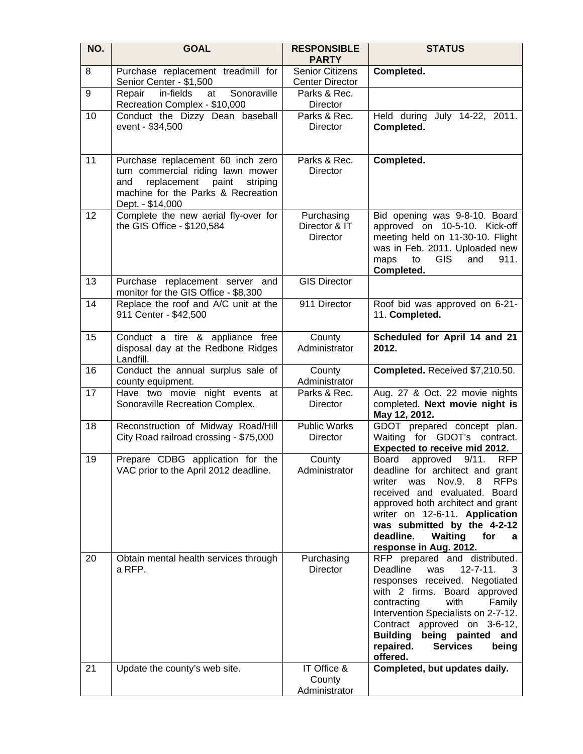| NO. | <b>GOAL</b>                                                                                                                                                              | <b>RESPONSIBLE</b><br><b>PARTY</b>               | <b>STATUS</b>                                                                                                                                                                                                                                                                                                                                      |  |  |
|-----|--------------------------------------------------------------------------------------------------------------------------------------------------------------------------|--------------------------------------------------|----------------------------------------------------------------------------------------------------------------------------------------------------------------------------------------------------------------------------------------------------------------------------------------------------------------------------------------------------|--|--|
| 8   | Purchase replacement treadmill for<br>Senior Center - \$1,500                                                                                                            | <b>Senior Citizens</b><br><b>Center Director</b> | Completed.                                                                                                                                                                                                                                                                                                                                         |  |  |
| 9   | in-fields<br>Sonoraville<br>Repair<br>at<br>Recreation Complex - \$10,000                                                                                                | Parks & Rec.<br>Director                         |                                                                                                                                                                                                                                                                                                                                                    |  |  |
| 10  | Conduct the Dizzy Dean baseball<br>event - \$34,500                                                                                                                      | Parks & Rec.<br><b>Director</b>                  | Held during July 14-22, 2011.<br>Completed.                                                                                                                                                                                                                                                                                                        |  |  |
| 11  | Purchase replacement 60 inch zero<br>turn commercial riding lawn mower<br>replacement paint<br>and<br>striping<br>machine for the Parks & Recreation<br>Dept. - \$14,000 | Parks & Rec.<br><b>Director</b>                  | Completed.                                                                                                                                                                                                                                                                                                                                         |  |  |
| 12  | Complete the new aerial fly-over for<br>the GIS Office - \$120,584                                                                                                       | Purchasing<br>Director & IT<br><b>Director</b>   | Bid opening was 9-8-10. Board<br>approved on 10-5-10. Kick-off<br>meeting held on 11-30-10. Flight<br>was in Feb. 2011. Uploaded new<br>911.<br><b>GIS</b><br>maps<br>and<br>to<br>Completed.                                                                                                                                                      |  |  |
| 13  | Purchase replacement server and<br>monitor for the GIS Office - \$8,300                                                                                                  | <b>GIS Director</b>                              |                                                                                                                                                                                                                                                                                                                                                    |  |  |
| 14  | Replace the roof and A/C unit at the<br>911 Center - \$42,500                                                                                                            | 911 Director                                     | Roof bid was approved on 6-21-<br>11. Completed.                                                                                                                                                                                                                                                                                                   |  |  |
| 15  | Conduct a tire & appliance free<br>disposal day at the Redbone Ridges<br>Landfill.                                                                                       | County<br>Administrator                          | Scheduled for April 14 and 21<br>2012.                                                                                                                                                                                                                                                                                                             |  |  |
| 16  | Conduct the annual surplus sale of<br>county equipment.                                                                                                                  | County<br>Administrator                          | Completed. Received \$7,210.50.                                                                                                                                                                                                                                                                                                                    |  |  |
| 17  | Have two movie night events at<br>Sonoraville Recreation Complex.                                                                                                        | Parks & Rec.<br>Director                         | Aug. 27 & Oct. 22 movie nights<br>completed. Next movie night is<br>May 12, 2012.                                                                                                                                                                                                                                                                  |  |  |
| 18  | Reconstruction of Midway Road/Hill<br>City Road railroad crossing - \$75,000                                                                                             | <b>Public Works</b><br>Director                  | GDOT prepared concept plan.<br>Waiting for GDOT's contract.<br>Expected to receive mid 2012.                                                                                                                                                                                                                                                       |  |  |
| 19  | Prepare CDBG application for the<br>VAC prior to the April 2012 deadline.                                                                                                | County<br>Administrator                          | 9/11.<br>Board<br>approved<br><b>RFP</b><br>deadline for architect and grant<br>Nov.9.<br><b>RFPs</b><br>writer<br>was<br>8<br>received and evaluated.<br>Board<br>approved both architect and grant<br>writer on 12-6-11. Application<br>was submitted by the 4-2-12<br>deadline.<br><b>Waiting</b><br>for<br>a<br>response in Aug. 2012.         |  |  |
| 20  | Obtain mental health services through<br>a RFP.                                                                                                                          | Purchasing<br><b>Director</b>                    | RFP prepared and distributed.<br>$12 - 7 - 11$ .<br>Deadline<br>was<br>3<br>responses received. Negotiated<br>with 2 firms. Board approved<br>contracting<br>with<br>Family<br>Intervention Specialists on 2-7-12.<br>Contract approved on 3-6-12,<br>being painted<br><b>Building</b><br>and<br>being<br>repaired.<br><b>Services</b><br>offered. |  |  |
| 21  | Update the county's web site.                                                                                                                                            | IT Office &<br>County<br>Administrator           | Completed, but updates daily.                                                                                                                                                                                                                                                                                                                      |  |  |